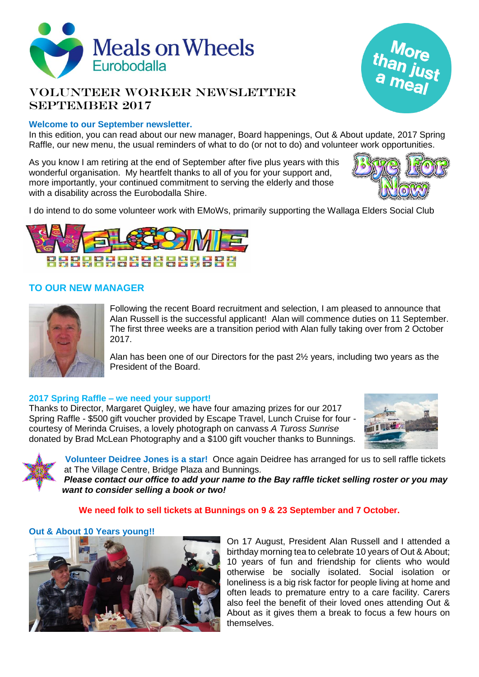

# Volunteer Worker Newsletter SEPTEMBER 2017

### **Welcome to our September newsletter.**

In this edition, you can read about our new manager, Board happenings, Out & About update, 2017 Spring Raffle, our new menu, the usual reminders of what to do (or not to do) and volunteer work opportunities.

As you know I am retiring at the end of September after five plus years with this wonderful organisation. My heartfelt thanks to all of you for your support and, more importantly, your continued commitment to serving the elderly and those with a disability across the Eurobodalla Shire.



More<br>than just<br>a meal

I do intend to do some volunteer work with EMoWs, primarily supporting the Wallaga Elders Social Club



## **TO OUR NEW MANAGER**



Following the recent Board recruitment and selection, I am pleased to announce that Alan Russell is the successful applicant! Alan will commence duties on 11 September. The first three weeks are a transition period with Alan fully taking over from 2 October 2017.

Alan has been one of our Directors for the past 2½ years, including two years as the President of the Board.

### **2017 Spring Raffle – we need your support!**

Thanks to Director, Margaret Quigley, we have four amazing prizes for our 2017 Spring Raffle - \$500 gift voucher provided by Escape Travel, Lunch Cruise for four courtesy of Merinda Cruises, a lovely photograph on canvass *A Tuross Sunrise*  donated by Brad McLean Photography and a \$100 gift voucher thanks to Bunnings.





**Volunteer Deidree Jones is a star!** Once again Deidree has arranged for us to sell raffle tickets at The Village Centre, Bridge Plaza and Bunnings.

*Please contact our office to add your name to the Bay raffle ticket selling roster or you may want to consider selling a book or two!* 

**We need folk to sell tickets at Bunnings on 9 & 23 September and 7 October.**

### **Out & About 10 Years young!!**



On 17 August, President Alan Russell and I attended a birthday morning tea to celebrate 10 years of Out & About; 10 years of fun and friendship for clients who would otherwise be socially isolated. Social isolation or loneliness is a big risk factor for people living at home and often leads to premature entry to a care facility. Carers also feel the benefit of their loved ones attending Out & About as it gives them a break to focus a few hours on themselves.